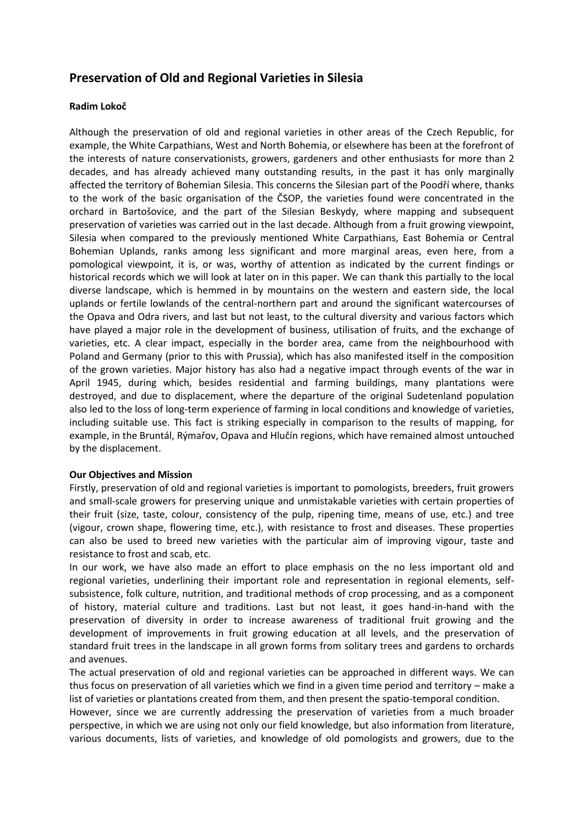# **Preservation of Old and Regional Varieties in Silesia**

## **Radim Lokoč**

Although the preservation of old and regional varieties in other areas of the Czech Republic, for example, the White Carpathians, West and North Bohemia, or elsewhere has been at the forefront of the interests of nature conservationists, growers, gardeners and other enthusiasts for more than 2 decades, and has already achieved many outstanding results, in the past it has only marginally affected the territory of Bohemian Silesia. This concerns the Silesian part of the Poodří where, thanks to the work of the basic organisation of the ČSOP, the varieties found were concentrated in the orchard in Bartošovice, and the part of the Silesian Beskydy, where mapping and subsequent preservation of varieties was carried out in the last decade. Although from a fruit growing viewpoint, Silesia when compared to the previously mentioned White Carpathians, East Bohemia or Central Bohemian Uplands, ranks among less significant and more marginal areas, even here, from a pomological viewpoint, it is, or was, worthy of attention as indicated by the current findings or historical records which we will look at later on in this paper. We can thank this partially to the local diverse landscape, which is hemmed in by mountains on the western and eastern side, the local uplands or fertile lowlands of the central-northern part and around the significant watercourses of the Opava and Odra rivers, and last but not least, to the cultural diversity and various factors which have played a major role in the development of business, utilisation of fruits, and the exchange of varieties, etc. A clear impact, especially in the border area, came from the neighbourhood with Poland and Germany (prior to this with Prussia), which has also manifested itself in the composition of the grown varieties. Major history has also had a negative impact through events of the war in April 1945, during which, besides residential and farming buildings, many plantations were destroyed, and due to displacement, where the departure of the original Sudetenland population also led to the loss of long-term experience of farming in local conditions and knowledge of varieties, including suitable use. This fact is striking especially in comparison to the results of mapping, for example, in the Bruntál, Rýmařov, Opava and Hlučín regions, which have remained almost untouched by the displacement.

### **Our Objectives and Mission**

Firstly, preservation of old and regional varieties is important to pomologists, breeders, fruit growers and small-scale growers for preserving unique and unmistakable varieties with certain properties of their fruit (size, taste, colour, consistency of the pulp, ripening time, means of use, etc.) and tree (vigour, crown shape, flowering time, etc.), with resistance to frost and diseases. These properties can also be used to breed new varieties with the particular aim of improving vigour, taste and resistance to frost and scab, etc.

In our work, we have also made an effort to place emphasis on the no less important old and regional varieties, underlining their important role and representation in regional elements, self subsistence, folk culture, nutrition, and traditional methods of crop processing, and as a component of history, material culture and traditions. Last but not least, it goes hand-in-hand with the preservation of diversity in order to increase awareness of traditional fruit growing and the development of improvements in fruit growing education at all levels, and the preservation of standard fruit trees in the landscape in all grown forms from solitary trees and gardens to orchards and avenues.

The actual preservation of old and regional varieties can be approached in different ways. We can thus focus on preservation of all varieties which we find in a given time period and territory – make a list of varieties or plantations created from them, and then present the spatio-temporal condition.

However, since we are currently addressing the preservation of varieties from a much broader perspective, in which we are using not only our field knowledge, but also information from literature, various documents, lists of varieties, and knowledge of old pomologists and growers, due to the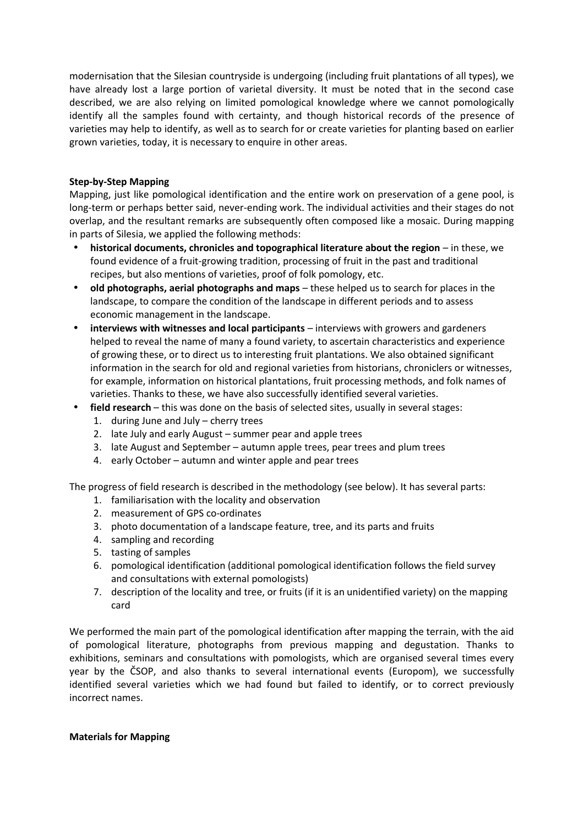modernisation that the Silesian countryside is undergoing (including fruit plantations of all types), we have already lost a large portion of varietal diversity. It must be noted that in the second case described, we are also relying on limited pomological knowledge where we cannot pomologically identify all the samples found with certainty, and though historical records of the presence of varieties may help to identify, as well as to search for or create varieties for planting based on earlier grown varieties, today, it is necessary to enquire in other areas.

## **Step-by-Step Mapping**

Mapping, just like pomological identification and the entire work on preservation of a gene pool, is long-term or perhaps better said, never-ending work. The individual activities and their stages do not overlap, and the resultant remarks are subsequently often composed like a mosaic. During mapping in parts of Silesia, we applied the following methods:

- **historical documents, chronicles and topographical literature about the region** in these, we found evidence of a fruit-growing tradition, processing of fruit in the past and traditional recipes, but also mentions of varieties, proof of folk pomology, etc.
- **old photographs, aerial photographs and maps** these helped us to search for places in the landscape, to compare the condition of the landscape in different periods and to assess economic management in the landscape.
- **interviews with witnesses and local participants** interviews with growers and gardeners helped to reveal the name of many a found variety, to ascertain characteristics and experience of growing these, or to direct us to interesting fruit plantations. We also obtained significant information in the search for old and regional varieties from historians, chroniclers or witnesses, for example, information on historical plantations, fruit processing methods, and folk names of varieties. Thanks to these, we have also successfully identified several varieties.
- **field research** this was done on the basis of selected sites, usually in several stages:
	- 1. during June and July cherry trees
	- 2. late July and early August summer pear and apple trees
	- 3. late August and September autumn apple trees, pear trees and plum trees
	- 4. early October autumn and winter apple and pear trees

The progress of field research is described in the methodology (see below). It has several parts:

- 1. familiarisation with the locality and observation
- 2. measurement of GPS co-ordinates
- 3. photo documentation of a landscape feature, tree, and its parts and fruits
- 4. sampling and recording
- 5. tasting of samples
- 6. pomological identification (additional pomological identification follows the field survey and consultations with external pomologists)
- 7. description of the locality and tree, or fruits (if it is an unidentified variety) on the mapping card

We performed the main part of the pomological identification after mapping the terrain, with the aid of pomological literature, photographs from previous mapping and degustation. Thanks to exhibitions, seminars and consultations with pomologists, which are organised several times every year by the ČSOP, and also thanks to several international events (Europom), we successfully identified several varieties which we had found but failed to identify, or to correct previously incorrect names.

### **Materials for Mapping**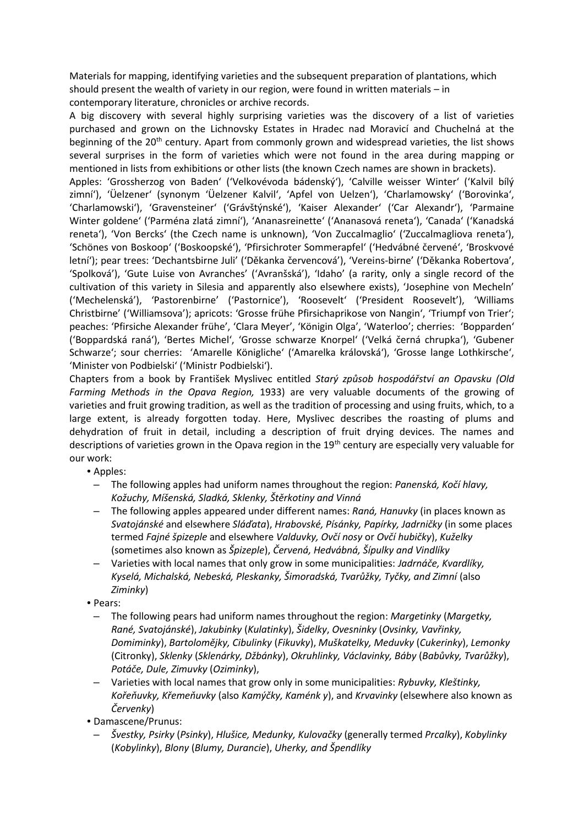Materials for mapping, identifying varieties and the subsequent preparation of plantations, which should present the wealth of variety in our region, were found in written materials – in contemporary literature, chronicles or archive records.

A big discovery with several highly surprising varieties was the discovery of a list of varieties purchased and grown on the Lichnovsky Estates in Hradec nad Moravicí and Chuchelná at the beginning of the  $20<sup>th</sup>$  century. Apart from commonly grown and widespread varieties, the list shows several surprises in the form of varieties which were not found in the area during mapping or mentioned in lists from exhibitions or other lists (the known Czech names are shown in brackets).

Apples: 'Grossherzog von Baden' ('Velkovévoda bádenský'), 'Calville weisser Winter' ('Kalvil bílý zimní'), 'Üelzener' (synonym 'Üelzener Kalvil', 'Apfel von Uelzen'), 'Charlamowsky' ('Borovinka', 'Charlamowski'), 'Gravensteiner' ('Grávštýnské'), 'Kaiser Alexander' ('Car Alexandr'), 'Parmaine Winter goldene' ('Parména zlatá zimní'), 'Ananasreinette' ('Ananasová reneta'), 'Canada' ('Kanadská reneta'), 'Von Bercks' (the Czech name is unknown), 'Von Zuccalmaglio' ('Zuccalmagliova reneta'), 'Schönes von Boskoop' ('Boskoopské'), 'Pfirsichroter Sommerapfel' ('Hedvábné červené', 'Broskvové letní'); pear trees: 'Dechantsbirne Juli' ('Děkanka červencová'), 'Vereins-birne' ('Děkanka Robertova', 'Spolková'), 'Gute Luise von Avranches' ('Avranšská'), 'Idaho' (a rarity, only a single record of the cultivation of this variety in Silesia and apparently also elsewhere exists), 'Josephine von Mecheln' ('Mechelenská'), 'Pastorenbirne' ('Pastornice'), 'Roosevelt' ('President Roosevelt'), 'Williams Christbirne' ('Williamsova'); apricots: 'Grosse frühe Pfirsichaprikose von Nangin', 'Triumpf von Trier'; peaches: 'Pfirsiche Alexander frühe', 'Clara Meyer', 'Königin Olga', 'Waterloo'; cherries: 'Bopparden' ('Boppardská raná'), 'Bertes Michel', 'Grosse schwarze Knorpel' ('Velká černá chrupka'), 'Gubener Schwarze'; sour cherries: 'Amarelle Königliche' ('Amarelka královská'), 'Grosse lange Lothkirsche', 'Minister von Podbielski' ('Ministr Podbielski').

Chapters from a book by František Myslivec entitled *Starý způsob hospodářství an Opavsku (Old Farming Methods in the Opava Region,* 1933) are very valuable documents of the growing of varieties and fruit growing tradition, as well as the tradition of processing and using fruits, which, to a large extent, is already forgotten today. Here, Myslivec describes the roasting of plums and dehydration of fruit in detail, including a description of fruit drying devices. The names and descriptions of varieties grown in the Opava region in the 19<sup>th</sup> century are especially very valuable for our work:

• Apples:

- The following apples had uniform names throughout the region: *Panenská, Kočí hlavy, Kožuchy, Míšenská, Sladká, Sklenky, Štěrkotiny and Vinná*
- The following apples appeared under different names: *Raná, Hanuvky* (in places known as *Svatojánské* and elsewhere *Sláďata*), *Hrabovské, Písánky, Papírky, Jadrničky* (in some places termed *Fajné špizeple* and elsewhere *Valduvky, Ovčí nosy* or *Ovčí hubičky*), *Kuželky* (sometimes also known as *Špizeple*), *Červená, Hedvábná, Šípulky and Vindlíky*
- Varieties with local names that only grow in some municipalities: *Jadrnáče, Kvardlíky, Kyselá, Michalská, Nebeská, Pleskanky, Šimoradská, Tvarůžky, Tyčky, and Zimní* (also *Ziminky*)
- Pears:
	- The following pears had uniform names throughout the region: *Margetinky* (*Margetky, Rané, Svatojánské*), *Jakubinky* (*Kulatinky*), *Šidelky*, *Ovesninky* (*Ovsinky, Vavřinky, Domiminky*), *Bartolomějky, Cibulinky* (*Fikuvky*), *Muškatelky, Meduvky* (*Cukerinky*), *Lemonky* (Citronky), *Sklenky* (*Sklenárky, Džbánky*), *Okruhlinky, Václavinky, Báby* (*Babůvky, Tvarůžky*), *Potáče, Dule, Zimuvky* (*Oziminky*),
- Varieties with local names that grow only in some municipalities: *Rybuvky, Kleštinky, Kořeňuvky, Křemeňuvky* (also *Kamýčky, Kaménk y*), and *Krvavinky* (elsewhere also known as *Červenky*)
- Damascene/Prunus:
	- *Švestky, Psirky* (*Psinky*), *Hlušice, Medunky, Kulovačky* (generally termed *Prcalky*), *Kobylinky* (*Kobylinky*), *Blony* (*Blumy, Durancie*), *Uherky, and Špendlíky*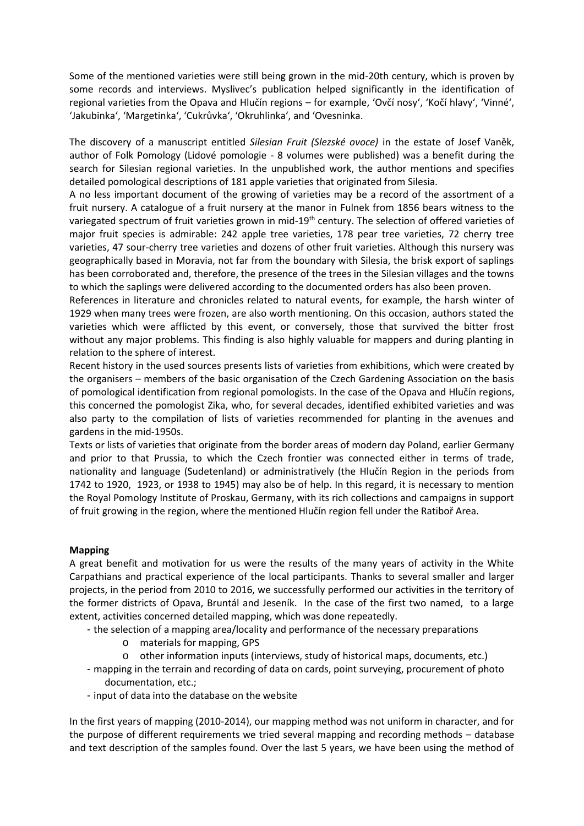Some of the mentioned varieties were still being grown in the mid-20th century, which is proven by some records and interviews. Myslivec's publication helped significantly in the identification of regional varieties from the Opava and Hlučín regions – for example, 'Ovčí nosy', 'Kočí hlavy', 'Vinné', 'Jakubinka', 'Margetinka', 'Cukrůvka', 'Okruhlinka', and 'Ovesninka.

The discovery of a manuscript entitled *Silesian Fruit (Slezské ovoce)* in the estate of Josef Vaněk, author of Folk Pomology (Lidové pomologie - 8 volumes were published) was a benefit during the search for Silesian regional varieties. In the unpublished work, the author mentions and specifies detailed pomological descriptions of 181 apple varieties that originated from Silesia.

A no less important document of the growing of varieties may be a record of the assortment of a fruit nursery. A catalogue of a fruit nursery at the manor in Fulnek from 1856 bears witness to the variegated spectrum of fruit varieties grown in mid-19<sup>th</sup> century. The selection of offered varieties of major fruit species is admirable: 242 apple tree varieties, 178 pear tree varieties, 72 cherry tree varieties, 47 sour-cherry tree varieties and dozens of other fruit varieties. Although this nursery was geographically based in Moravia, not far from the boundary with Silesia, the brisk export of saplings has been corroborated and, therefore, the presence of the trees in the Silesian villages and the towns to which the saplings were delivered according to the documented orders has also been proven.

References in literature and chronicles related to natural events, for example, the harsh winter of 1929 when many trees were frozen, are also worth mentioning. On this occasion, authors stated the varieties which were afflicted by this event, or conversely, those that survived the bitter frost without any major problems. This finding is also highly valuable for mappers and during planting in relation to the sphere of interest.

Recent history in the used sources presents lists of varieties from exhibitions, which were created by the organisers – members of the basic organisation of the Czech Gardening Association on the basis of pomological identification from regional pomologists. In the case of the Opava and Hlučín regions, this concerned the pomologist Zika, who, for several decades, identified exhibited varieties and was also party to the compilation of lists of varieties recommended for planting in the avenues and gardens in the mid-1950s.

Texts or lists of varieties that originate from the border areas of modern day Poland, earlier Germany and prior to that Prussia, to which the Czech frontier was connected either in terms of trade, nationality and language (Sudetenland) or administratively (the Hlučín Region in the periods from 1742 to 1920, 1923, or 1938 to 1945) may also be of help. In this regard, it is necessary to mention the Royal Pomology Institute of Proskau, Germany, with its rich collections and campaigns in support of fruit growing in the region, where the mentioned Hlučín region fell under the Ratiboř Area.

### **Mapping**

A great benefit and motivation for us were the results of the many years of activity in the White Carpathians and practical experience of the local participants. Thanks to several smaller and larger projects, in the period from 2010 to 2016, we successfully performed our activities in the territory of the former districts of Opava, Bruntál and Jeseník. In the case of the first two named, to a large extent, activities concerned detailed mapping, which was done repeatedly.

- the selection of a mapping area/locality and performance of the necessary preparations
	- o materials for mapping, GPS
	- o other information inputs (interviews, study of historical maps, documents, etc.)
- mapping in the terrain and recording of data on cards, point surveying, procurement of photo documentation, etc.;
- input of data into the database on the website

In the first years of mapping (2010-2014), our mapping method was not uniform in character, and for the purpose of different requirements we tried several mapping and recording methods – database and text description of the samples found. Over the last 5 years, we have been using the method of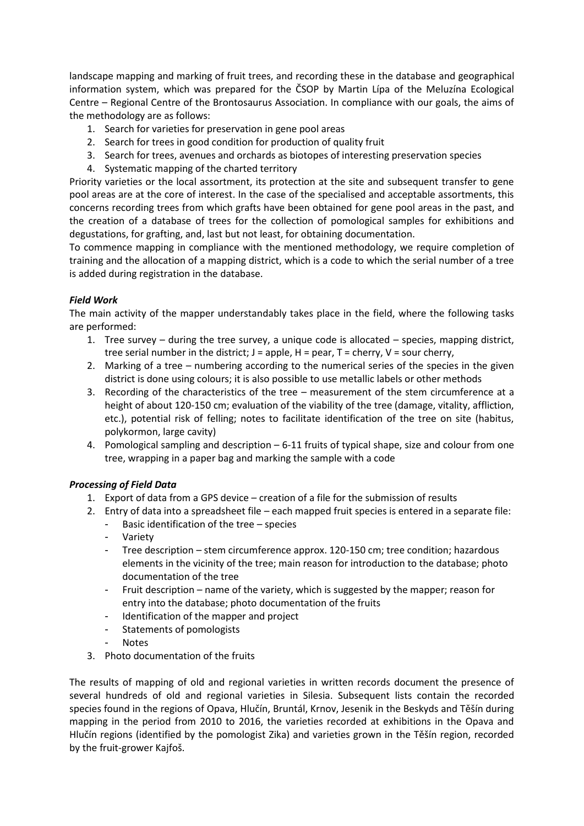landscape mapping and marking of fruit trees, and recording these in the database and geographical information system, which was prepared for the ČSOP by Martin Lípa of the Meluzína Ecological Centre – Regional Centre of the Brontosaurus Association. In compliance with our goals, the aims of the methodology are as follows:

- 1. Search for varieties for preservation in gene pool areas
- 2. Search for trees in good condition for production of quality fruit
- 3. Search for trees, avenues and orchards as biotopes of interesting preservation species
- 4. Systematic mapping of the charted territory

Priority varieties or the local assortment, its protection at the site and subsequent transfer to gene pool areas are at the core of interest. In the case of the specialised and acceptable assortments, this concerns recording trees from which grafts have been obtained for gene pool areas in the past, and the creation of a database of trees for the collection of pomological samples for exhibitions and degustations, for grafting, and, last but not least, for obtaining documentation.

To commence mapping in compliance with the mentioned methodology, we require completion of training and the allocation of a mapping district, which is a code to which the serial number of a tree is added during registration in the database.

## *Field Work*

The main activity of the mapper understandably takes place in the field, where the following tasks are performed:

- 1. Tree survey during the tree survey, a unique code is allocated species, mapping district, tree serial number in the district;  $J =$  apple,  $H =$  pear,  $T =$  cherry,  $V =$  sour cherry,
- 2. Marking of a tree numbering according to the numerical series of the species in the given district is done using colours; it is also possible to use metallic labels or other methods
- 3. Recording of the characteristics of the tree measurement of the stem circumference at a height of about 120-150 cm; evaluation of the viability of the tree (damage, vitality, affliction, etc.), potential risk of felling; notes to facilitate identification of the tree on site (habitus, polykormon, large cavity)
- 4. Pomological sampling and description 6-11 fruits of typical shape, size and colour from one tree, wrapping in a paper bag and marking the sample with a code

## *Processing of Field Data*

- 1. Export of data from a GPS device creation of a file for the submission of results
- 2. Entry of data into a spreadsheet file each mapped fruit species is entered in a separate file:
	- Basic identification of the tree  $-$  species
	- **Variety**
	- Tree description stem circumference approx. 120-150 cm; tree condition; hazardous elements in the vicinity of the tree; main reason for introduction to the database; photo documentation of the tree
	- Fruit description name of the variety, which is suggested by the mapper; reason for entry into the database; photo documentation of the fruits
	- Identification of the mapper and project
	- Statements of pomologists
	- Notes
- 3. Photo documentation of the fruits

The results of mapping of old and regional varieties in written records document the presence of several hundreds of old and regional varieties in Silesia. Subsequent lists contain the recorded species found in the regions of Opava, Hlučín, Bruntál, Krnov, Jesenik in the Beskyds and Těšín during mapping in the period from 2010 to 2016, the varieties recorded at exhibitions in the Opava and Hlučín regions (identified by the pomologist Zika) and varieties grown in the Těšín region, recorded by the fruit-grower Kajfoš.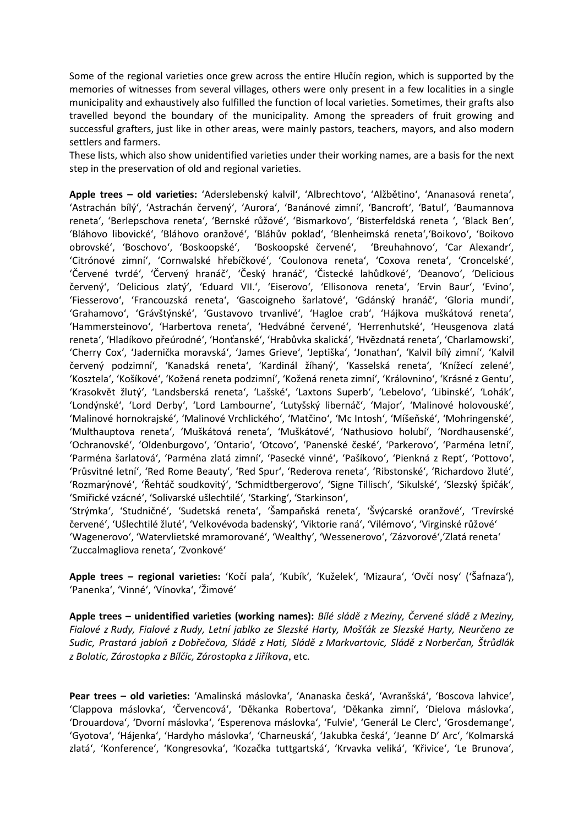Some of the regional varieties once grew across the entire Hlučín region, which is supported by the memories of witnesses from several villages, others were only present in a few localities in a single municipality and exhaustively also fulfilled the function of local varieties. Sometimes, their grafts also travelled beyond the boundary of the municipality. Among the spreaders of fruit growing and successful grafters, just like in other areas, were mainly pastors, teachers, mayors, and also modern settlers and farmers.

These lists, which also show unidentified varieties under their working names, are a basis for the next step in the preservation of old and regional varieties.

**Apple trees – old varieties:** 'Aderslebenský kalvil', 'Albrechtovo', 'Alžbětino', 'Ananasová reneta', 'Astrachán bílý', 'Astrachán červený', 'Aurora', 'Banánové zimní', 'Bancroft', 'Batul', 'Baumannova reneta', 'Berlepschova reneta', 'Bernské růžové', 'Bismarkovo', 'Bisterfeldská reneta ', 'Black Ben', 'Bláhovo libovické', 'Bláhovo oranžové', 'Bláhův poklad', 'Blenheimská reneta','Boikovo', 'Boikovo obrovské', 'Boschovo', 'Boskoopské', 'Boskoopské červené', 'Breuhahnovo', 'Car Alexandr', 'Citrónové zimní', 'Cornwalské hřebíčkové', 'Coulonova reneta', 'Coxova reneta', 'Croncelské', 'Červené tvrdé', 'Červený hranáč', 'Český hranáč', 'Čistecké lahůdkové', 'Deanovo', 'Delicious červený', 'Delicious zlatý', 'Eduard VII.', 'Eiserovo', 'Ellisonova reneta', 'Ervin Baur', 'Evino', 'Fiesserovo', 'Francouzská reneta', 'Gascoigneho šarlatové', 'Gdánský hranáč', 'Gloria mundi', 'Grahamovo', 'Grávštýnské', 'Gustavovo trvanlivé', 'Hagloe crab', 'Hájkova muškátová reneta', 'Hammersteinovo', 'Harbertova reneta', 'Hedvábné červené', 'Herrenhutské', 'Heusgenova zlatá reneta', 'Hladíkovo přeúrodné', 'Honťanské', 'Hrabůvka skalická', 'Hvězdnatá reneta', 'Charlamowski', 'Cherry Cox', 'Jadernička moravská', 'James Grieve', 'Jeptiška', 'Jonathan', 'Kalvil bílý zimní', 'Kalvil červený podzimní', 'Kanadská reneta', 'Kardinál žíhaný', 'Kasselská reneta', 'Knížecí zelené', 'Kosztela', 'Košíkové', 'Kožená reneta podzimní', 'Kožená reneta zimní', 'Královnino', 'Krásné z Gentu', 'Krasokvět žlutý', 'Landsberská reneta', 'Lašské', 'Laxtons Superb', 'Lebelovo', 'Libinské', 'Lohák', 'Londýnské', 'Lord Derby', 'Lord Lambourne', 'Lutyšský libernáč', 'Major', 'Malinové holovouské', 'Malinové hornokrajské', 'Malinové Vrchlického', 'Matčino', 'Mc Intosh', 'Míšeňské', 'Mohringenské', 'Multhauptova reneta', 'Muškátová reneta', 'Muškátové', 'Nathusiovo holubí', 'Nordhausenské', 'Ochranovské', 'Oldenburgovo', 'Ontario', 'Otcovo', 'Panenské české', 'Parkerovo', 'Parména letní', 'Parména šarlatová', 'Parména zlatá zimní', 'Pasecké vinné', 'Pašíkovo', 'Pienkná z Rept', 'Pottovo', 'Průsvitné letní', 'Red Rome Beauty', 'Red Spur', 'Rederova reneta', 'Ribstonské', 'Richardovo žluté', 'Rozmarýnové', 'Řehtáč soudkovitý', 'Schmidtbergerovo', 'Signe Tillisch', 'Sikulské', 'Slezský špičák', 'Smiřické vzácné', 'Solivarské ušlechtilé', 'Starking', 'Starkinson',

'Strýmka', 'Studničné', 'Sudetská reneta', 'Šampaňská reneta', 'Švýcarské oranžové', 'Trevírské červené', 'Ušlechtilé žluté', 'Velkovévoda badenský', 'Viktorie raná', 'Vilémovo', 'Virginské růžové' 'Wagenerovo', 'Watervlietské mramorované', 'Wealthy', 'Wessenerovo', 'Zázvorové','Zlatá reneta' 'Zuccalmagliova reneta', 'Zvonkové'

**Apple trees – regional varieties:** 'Kočí pala', 'Kubík', 'Kuželek', 'Mizaura', 'Ovčí nosy' ('Šafnaza'), 'Panenka', 'Vinné', 'Vínovka', 'Žimové'

**Apple trees – unidentified varieties (working names):** *Bílé sládě z Meziny, Červené sládě z Meziny, Fialové z Rudy, Fialové z Rudy, Letní jablko ze Slezské Harty, Mošťák ze Slezské Harty, Neurčeno ze Sudic, Prastará jabloň z Dobřečova, Sládě z Hati, Sládě z Markvartovic, Sládě z Norberčan, Štrůdlák z Bolatic, Zárostopka z Bílčic, Zárostopka z Jiříkova*, etc.

**Pear trees – old varieties:** 'Amalinská máslovka', 'Ananaska česká', 'Avranšská', 'Boscova lahvice', 'Clappova máslovka', 'Červencová', 'Děkanka Robertova', 'Děkanka zimní', 'Dielova máslovka', 'Drouardova', 'Dvorní máslovka', 'Esperenova máslovka', 'Fulvie', 'Generál Le Clerc', 'Grosdemange', 'Gyotova', 'Hájenka', 'Hardyho máslovka', 'Charneuská', 'Jakubka česká', 'Jeanne D' Arc', 'Kolmarská zlatá', 'Konference', 'Kongresovka', 'Kozačka tuttgartská', 'Krvavka veliká', 'Křivice', 'Le Brunova',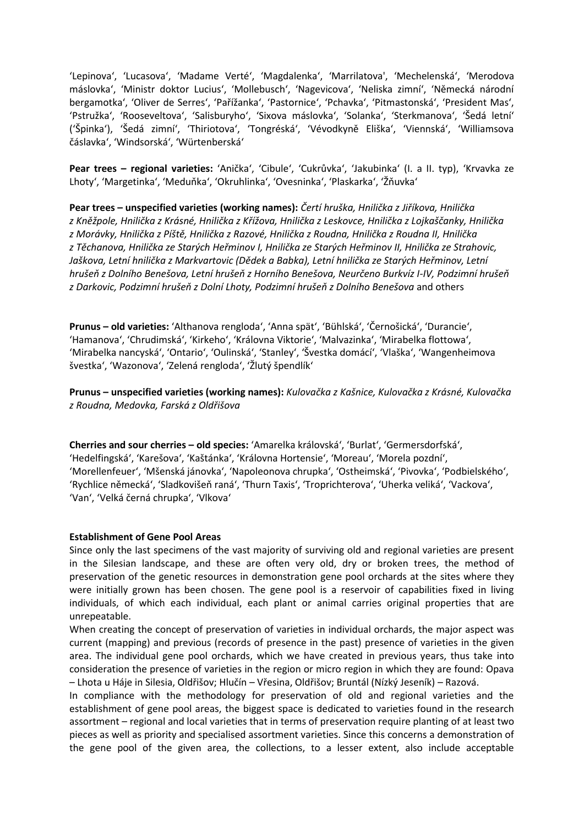'Lepinova', 'Lucasova', 'Madame Verté', 'Magdalenka', 'Marrilatova', 'Mechelenská', 'Merodova máslovka', 'Ministr doktor Lucius', 'Mollebusch', 'Nagevicova', 'Neliska zimní', 'Německá národní bergamotka', 'Oliver de Serres', 'Pařížanka', 'Pastornice', 'Pchavka', 'Pitmastonská', 'President Mas', 'Pstružka', 'Rooseveltova', 'Salisburyho', 'Sixova máslovka', 'Solanka', 'Sterkmanova', 'Šedá letní' ('Špinka'), 'Šedá zimní', 'Thiriotova', 'Tongréská', 'Vévodkyně Eliška', 'Viennská', 'Williamsova čáslavka', 'Windsorská', 'Würtenberská'

**Pear trees – regional varieties:** 'Anička', 'Cibule', 'Cukrůvka', 'Jakubinka' (I. a II. typ), 'Krvavka ze Lhoty', 'Margetinka', 'Meduňka', 'Okruhlinka', 'Ovesninka', 'Plaskarka', 'Žňuvka'

**Pear trees – unspecified varieties (working names):** *Čertí hruška, Hnilička z Jiříkova, Hnilička z Kněžpole, Hnilička z Krásné, Hnilička z Křížova, Hnilička z Leskovce, Hnilička z Lojkaščanky, Hnilička z Morávky, Hnilička z Píště, Hnilička z Razové, Hnilička z Roudna, Hnilička z Roudna II, Hnilička z Těchanova, Hnilička ze Starých Heřminov I, Hnilička ze Starých Heřminov II, Hnilička ze Strahovic, Jaškova, Letní hnilička z Markvartovic (Dědek a Babka), Letní hnilička ze Starých Heřminov, Letní hrušeň z Dolního Benešova, Letní hrušeň z Horního Benešova, Neurčeno Burkvíz I-IV, Podzimní hrušeň z Darkovic, Podzimní hrušeň z Dolní Lhoty, Podzimní hrušeň z Dolního Benešova* and others

**Prunus – old varieties:** 'Althanova rengloda', 'Anna spät', 'Bühlská', 'Černošická', 'Durancie', 'Hamanova', 'Chrudimská', 'Kirkeho', 'Královna Viktorie', 'Malvazinka', 'Mirabelka flottowa', 'Mirabelka nancyská', 'Ontario', 'Oulinská', 'Stanley', 'Švestka domácí', 'Vlaška', 'Wangenheimova švestka', 'Wazonova', 'Zelená rengloda', 'Žlutý špendlík'

**Prunus – unspecified varieties (working names):** *Kulovačka z Kašnice, Kulovačka z Krásné, Kulovačka z Roudna, Medovka, Farská z Oldřišova*

**Cherries and sour cherries – old species:** 'Amarelka královská', 'Burlat', 'Germersdorfská', 'Hedelfingská', 'Karešova', 'Kaštánka', 'Královna Hortensie', 'Moreau', 'Morela pozdní', 'Morellenfeuer', 'Mšenská jánovka', 'Napoleonova chrupka', 'Ostheimská', 'Pivovka', 'Podbielského', 'Rychlice německá', 'Sladkovišeň raná', 'Thurn Taxis', 'Troprichterova', 'Uherka veliká', 'Vackova', 'Van', 'Velká černá chrupka', 'Vlkova'

#### **Establishment of Gene Pool Areas**

Since only the last specimens of the vast majority of surviving old and regional varieties are present in the Silesian landscape, and these are often very old, dry or broken trees, the method of preservation of the genetic resources in demonstration gene pool orchards at the sites where they were initially grown has been chosen. The gene pool is a reservoir of capabilities fixed in living individuals, of which each individual, each plant or animal carries original properties that are unrepeatable.

When creating the concept of preservation of varieties in individual orchards, the major aspect was current (mapping) and previous (records of presence in the past) presence of varieties in the given area. The individual gene pool orchards, which we have created in previous years, thus take into consideration the presence of varieties in the region or micro region in which they are found: Opava – Lhota u Háje in Silesia, Oldřišov; Hlučín – Vřesina, Oldřišov; Bruntál (Nízký Jeseník) – Razová.

In compliance with the methodology for preservation of old and regional varieties and the establishment of gene pool areas, the biggest space is dedicated to varieties found in the research assortment – regional and local varieties that in terms of preservation require planting of at least two pieces as well as priority and specialised assortment varieties. Since this concerns a demonstration of the gene pool of the given area, the collections, to a lesser extent, also include acceptable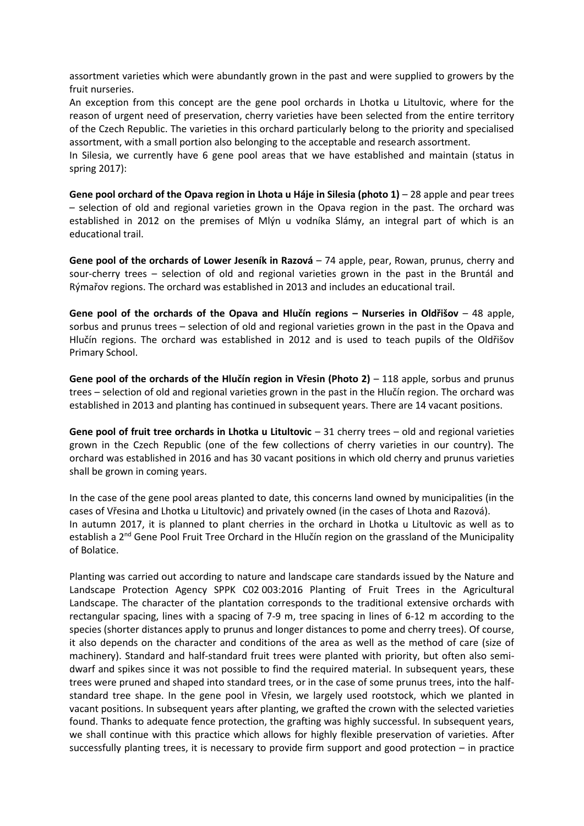assortment varieties which were abundantly grown in the past and were supplied to growers by the fruit nurseries.

An exception from this concept are the gene pool orchards in Lhotka u Litultovic, where for the reason of urgent need of preservation, cherry varieties have been selected from the entire territory of the Czech Republic. The varieties in this orchard particularly belong to the priority and specialised assortment, with a small portion also belonging to the acceptable and research assortment.

In Silesia, we currently have 6 gene pool areas that we have established and maintain (status in spring 2017):

**Gene pool orchard of the Opava region in Lhota u Háje in Silesia (photo 1)** – 28 apple and pear trees – selection of old and regional varieties grown in the Opava region in the past. The orchard was established in 2012 on the premises of Mlýn u vodníka Slámy, an integral part of which is an educational trail.

**Gene pool of the orchards of Lower Jeseník in Razová** – 74 apple, pear, Rowan, prunus, cherry and sour-cherry trees – selection of old and regional varieties grown in the past in the Bruntál and Rýmařov regions. The orchard was established in 2013 and includes an educational trail.

**Gene pool of the orchards of the Opava and Hlučín regions – Nurseries in Oldřišov** – 48 apple, sorbus and prunus trees – selection of old and regional varieties grown in the past in the Opava and Hlučín regions. The orchard was established in 2012 and is used to teach pupils of the Oldřišov Primary School.

**Gene pool of the orchards of the Hlučín region in Vřesin (Photo 2)** – 118 apple, sorbus and prunus trees – selection of old and regional varieties grown in the past in the Hlučín region. The orchard was established in 2013 and planting has continued in subsequent years. There are 14 vacant positions.

**Gene pool of fruit tree orchards in Lhotka u Litultovic** – 31 cherry trees – old and regional varieties grown in the Czech Republic (one of the few collections of cherry varieties in our country). The orchard was established in 2016 and has 30 vacant positions in which old cherry and prunus varieties shall be grown in coming years.

In the case of the gene pool areas planted to date, this concerns land owned by municipalities (in the cases of Vřesina and Lhotka u Litultovic) and privately owned (in the cases of Lhota and Razová). In autumn 2017, it is planned to plant cherries in the orchard in Lhotka u Litultovic as well as to establish a 2<sup>nd</sup> Gene Pool Fruit Tree Orchard in the Hlučín region on the grassland of the Municipality of Bolatice.

Planting was carried out according to nature and landscape care standards issued by the Nature and Landscape Protection Agency SPPK C02 003:2016 Planting of Fruit Trees in the Agricultural Landscape. The character of the plantation corresponds to the traditional extensive orchards with rectangular spacing, lines with a spacing of 7-9 m, tree spacing in lines of 6-12 m according to the species (shorter distances apply to prunus and longer distances to pome and cherry trees). Of course, it also depends on the character and conditions of the area as well as the method of care (size of machinery). Standard and half-standard fruit trees were planted with priority, but often also semi dwarf and spikes since it was not possible to find the required material. In subsequent years, these trees were pruned and shaped into standard trees, or in the case of some prunus trees, into the half standard tree shape. In the gene pool in Vřesin, we largely used rootstock, which we planted in vacant positions. In subsequent years after planting, we grafted the crown with the selected varieties found. Thanks to adequate fence protection, the grafting was highly successful. In subsequent years, we shall continue with this practice which allows for highly flexible preservation of varieties. After successfully planting trees, it is necessary to provide firm support and good protection – in practice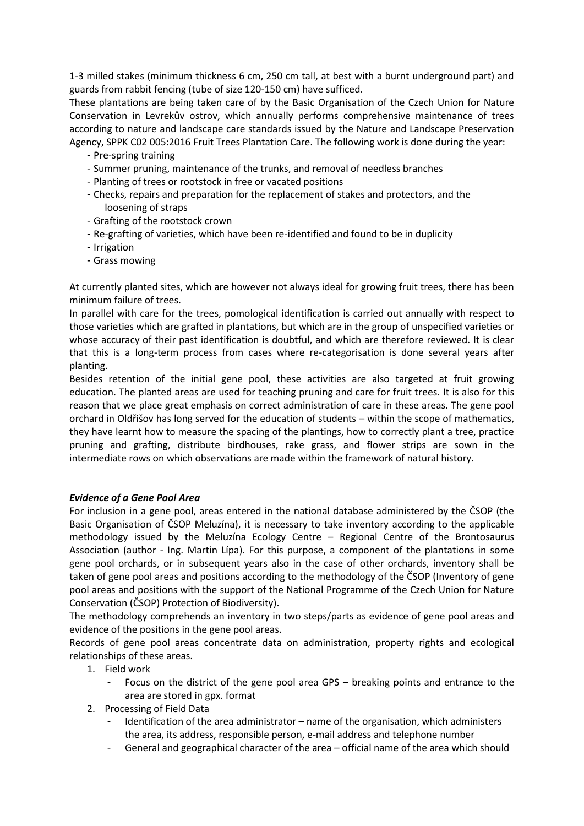1-3 milled stakes (minimum thickness 6 cm, 250 cm tall, at best with a burnt underground part) and guards from rabbit fencing (tube of size 120-150 cm) have sufficed.

These plantations are being taken care of by the Basic Organisation of the Czech Union for Nature Conservation in Levrekův ostrov, which annually performs comprehensive maintenance of trees according to nature and landscape care standards issued by the Nature and Landscape Preservation Agency, SPPK C02 005:2016 Fruit Trees Plantation Care. The following work is done during the year:

- Pre-spring training
- Summer pruning, maintenance of the trunks, and removal of needless branches
- Planting of trees or rootstock in free or vacated positions
- Checks, repairs and preparation for the replacement of stakes and protectors, and the loosening of straps
- Grafting of the rootstock crown
- Re-grafting of varieties, which have been re-identified and found to be in duplicity
- Irrigation
- Grass mowing

At currently planted sites, which are however not always ideal for growing fruit trees, there has been minimum failure of trees.

In parallel with care for the trees, pomological identification is carried out annually with respect to those varieties which are grafted in plantations, but which are in the group of unspecified varieties or whose accuracy of their past identification is doubtful, and which are therefore reviewed. It is clear that this is a long-term process from cases where re-categorisation is done several years after planting.

Besides retention of the initial gene pool, these activities are also targeted at fruit growing education. The planted areas are used for teaching pruning and care for fruit trees. It is also for this reason that we place great emphasis on correct administration of care in these areas. The gene pool orchard in Oldřišov has long served for the education of students – within the scope of mathematics, they have learnt how to measure the spacing of the plantings, how to correctly plant a tree, practice pruning and grafting, distribute birdhouses, rake grass, and flower strips are sown in the intermediate rows on which observations are made within the framework of natural history.

### *Evidence of a Gene Pool Area*

For inclusion in a gene pool, areas entered in the national database administered by the ČSOP (the Basic Organisation of ČSOP Meluzína), it is necessary to take inventory according to the applicable methodology issued by the Meluzína Ecology Centre – Regional Centre of the Brontosaurus Association (author - Ing. Martin Lípa). For this purpose, a component of the plantations in some gene pool orchards, or in subsequent years also in the case of other orchards, inventory shall be taken of gene pool areas and positions according to the methodology of the ČSOP (Inventory of gene pool areas and positions with the support of the National Programme of the Czech Union for Nature Conservation (ČSOP) Protection of Biodiversity).

The methodology comprehends an inventory in two steps/parts as evidence of gene pool areas and evidence of the positions in the gene pool areas.

Records of gene pool areas concentrate data on administration, property rights and ecological relationships of these areas.

- 1. Field work
	- Focus on the district of the gene pool area GPS breaking points and entrance to the area are stored in gpx. format
- 2. Processing of Field Data
	- Identification of the area administrator name of the organisation, which administers the area, its address, responsible person, e-mail address and telephone number
	- General and geographical character of the area official name of the area which should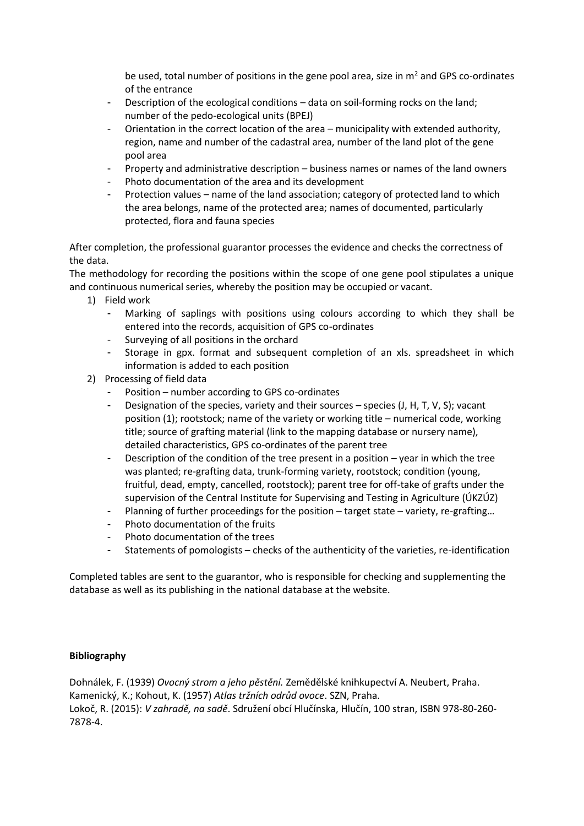be used, total number of positions in the gene pool area, size in  $m<sup>2</sup>$  and GPS co-ordinates of the entrance

- Description of the ecological conditions data on soil-forming rocks on the land; number of the pedo-ecological units (BPEJ)
- Orientation in the correct location of the area municipality with extended authority, region, name and number of the cadastral area, number of the land plot of the gene pool area
- Property and administrative description business names or names of the land owners
- Photo documentation of the area and its development
- Protection values name of the land association; category of protected land to which the area belongs, name of the protected area; names of documented, particularly protected, flora and fauna species

After completion, the professional guarantor processes the evidence and checks the correctness of the data.

The methodology for recording the positions within the scope of one gene pool stipulates a unique and continuous numerical series, whereby the position may be occupied or vacant.

- 1) Field work
	- Marking of saplings with positions using colours according to which they shall be entered into the records, acquisition of GPS co-ordinates
	- Surveying of all positions in the orchard
	- Storage in gpx. format and subsequent completion of an xls. spreadsheet in which information is added to each position
- 2) Processing of field data
	- Position number according to GPS co-ordinates
	- Designation of the species, variety and their sources species (J, H, T, V, S); vacant position (1); rootstock; name of the variety or working title – numerical code, working title; source of grafting material (link to the mapping database or nursery name), detailed characteristics, GPS co-ordinates of the parent tree
	- Description of the condition of the tree present in a position year in which the tree was planted; re-grafting data, trunk-forming variety, rootstock; condition (young, fruitful, dead, empty, cancelled, rootstock); parent tree for off-take of grafts under the supervision of the Central Institute for Supervising and Testing in Agriculture (ÚKZÚZ)
	- Planning of further proceedings for the position target state variety, re-grafting...
	- Photo documentation of the fruits
	- Photo documentation of the trees
	- Statements of pomologists checks of the authenticity of the varieties, re-identification

Completed tables are sent to the guarantor, who is responsible for checking and supplementing the database as well as its publishing in the national database at the website.

### **Bibliography**

Dohnálek, F. (1939) *Ovocný strom a jeho pěstění.* Zemědělské knihkupectví A. Neubert, Praha. Kamenický, K.; Kohout, K. (1957) *Atlas tržních odrůd ovoce*. SZN, Praha. Lokoč, R. (2015): *V zahradě, na sadě*. Sdružení obcí Hlučínska, Hlučín, 100 stran, ISBN 978-80-260- 7878-4.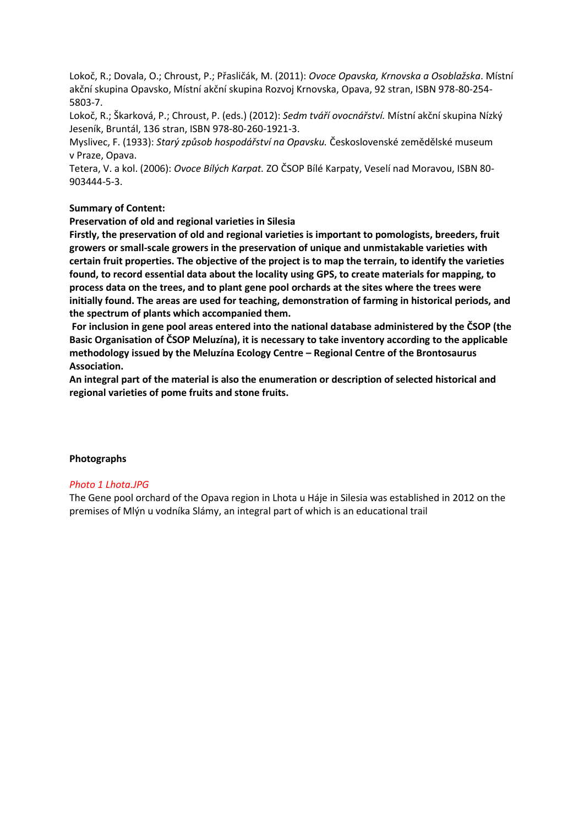Lokoč, R.; Dovala, O.; Chroust, P.; Přasličák, M. (2011): *Ovoce Opavska, Krnovska a Osoblažska*. Místní akční skupina Opavsko, Místní akční skupina Rozvoj Krnovska, Opava, 92 stran, ISBN 978-80-254- 5803-7.

Lokoč, R.; Škarková, P.; Chroust, P. (eds.) (2012): *Sedm tváří ovocnářství.* Místní akční skupina Nízký Jeseník, Bruntál, 136 stran, ISBN 978-80-260-1921-3.

Myslivec, F. (1933): *Starý způsob hospodářství na Opavsku.* Československé zemědělské museum v Praze, Opava.

Tetera, V. a kol. (2006): *Ovoce Bílých Karpat.* ZO ČSOP Bílé Karpaty, Veselí nad Moravou, ISBN 80- 903444-5-3.

## **Summary of Content:**

**Preservation of old and regional varieties in Silesia**

**Firstly, the preservation of old and regional varieties is important to pomologists, breeders, fruit growers or small-scale growers in the preservation of unique and unmistakable varieties with certain fruit properties. The objective of the project is to map the terrain, to identify the varieties found, to record essential data about the locality using GPS, to create materials for mapping, to process data on the trees, and to plant gene pool orchards at the sites where the trees were initially found. The areas are used for teaching, demonstration of farming in historical periods, and the spectrum of plants which accompanied them.**

**For inclusion in gene pool areas entered into the national database administered by the ČSOP (the Basic Organisation of ČSOP Meluzína), it is necessary to take inventory according to the applicable methodology issued by the Meluzína Ecology Centre – Regional Centre of the Brontosaurus Association.**

**An integral part of the material is also the enumeration or description of selected historical and regional varieties of pome fruits and stone fruits.**

### **Photographs**

### *Photo 1 Lhota.JPG*

The Gene pool orchard of the Opava region in Lhota u Háje in Silesia was established in 2012 on the premises of Mlýn u vodníka Slámy, an integral part of which is an educational trail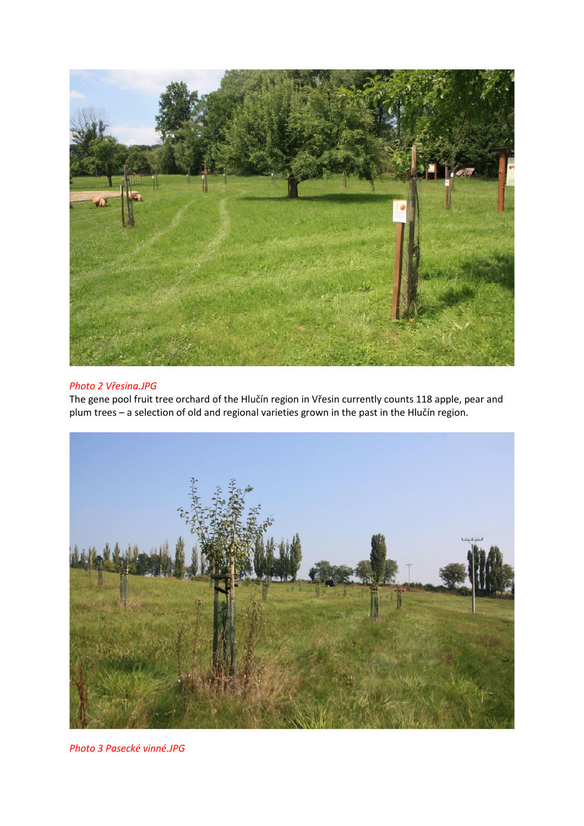

# *Photo 2 Vřesina.JPG*

The gene pool fruit tree orchard of the Hlučín region in Vřesin currently counts 118 apple, pear and plum trees – a selection of old and regional varieties grown in the past in the Hlučín region.



*Photo 3 Pasecké vinné.JPG*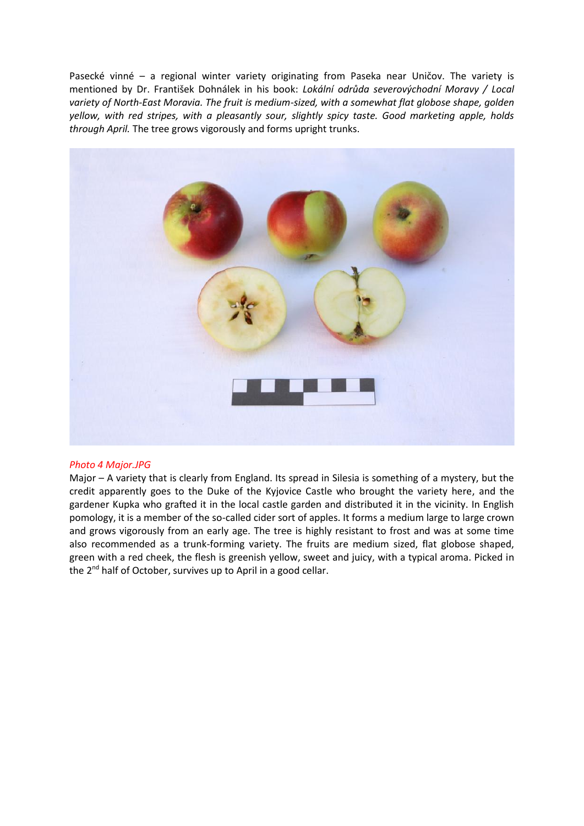Pasecké vinné – a regional winter variety originating from Paseka near Uničov. The variety is mentioned by Dr. František Dohnálek in his book: *Lokální odrůda severovýchodní Moravy / Local variety of North-East Moravia. The fruit is medium-sized, with a somewhat flat globose shape, golden yellow, with red stripes, with a pleasantly sour, slightly spicy taste. Good marketing apple, holds through April.* The tree grows vigorously and forms upright trunks.



### *Photo 4 Major.JPG*

Major – A variety that is clearly from England. Its spread in Silesia is something of a mystery, but the credit apparently goes to the Duke of the Kyjovice Castle who brought the variety here, and the gardener Kupka who grafted it in the local castle garden and distributed it in the vicinity. In English pomology, it is a member of the so-called cider sort of apples. It forms a medium large to large crown and grows vigorously from an early age. The tree is highly resistant to frost and was at some time also recommended as a trunk-forming variety. The fruits are medium sized, flat globose shaped, green with a red cheek, the flesh is greenish yellow, sweet and juicy, with a typical aroma. Picked in the 2<sup>nd</sup> half of October, survives up to April in a good cellar.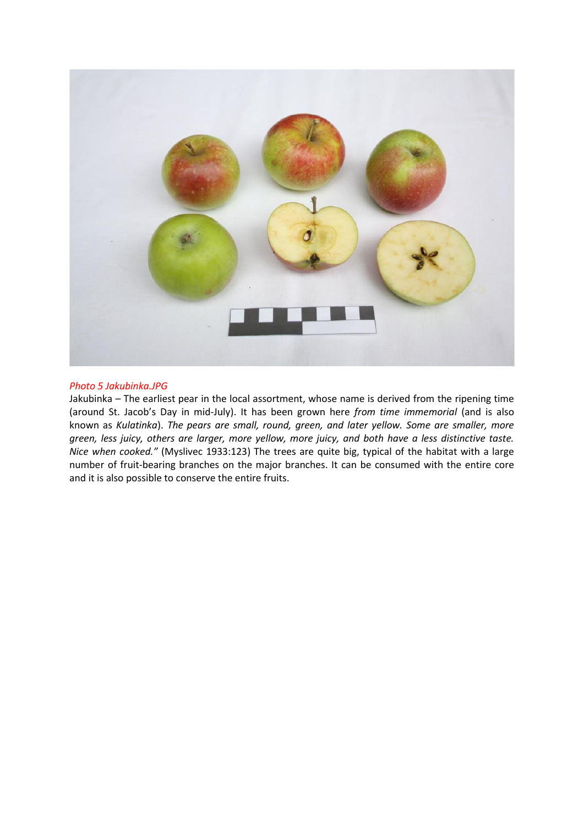

### *Photo 5 Jakubinka.JPG*

Jakubinka – The earliest pear in the local assortment, whose name is derived from the ripening time (around St. Jacob's Day in mid-July). It has been grown here *from time immemorial* (and is also known as *Kulatinka*). *The pears are small, round, green, and later yellow. Some are smaller, more green, less juicy, others are larger, more yellow, more juicy, and both have a less distinctive taste. Nice when cooked."* (Myslivec 1933:123) The trees are quite big, typical of the habitat with a large number of fruit-bearing branches on the major branches. It can be consumed with the entire core and it is also possible to conserve the entire fruits.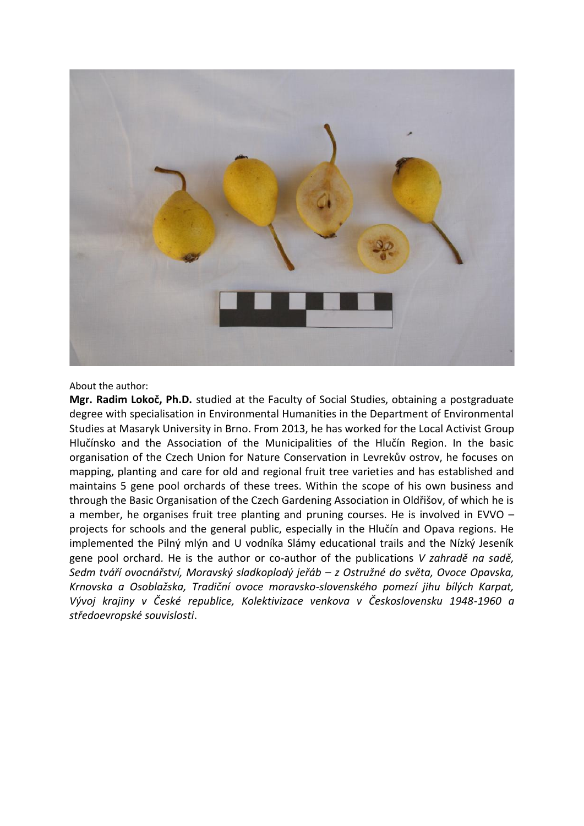

#### About the author:

**Mgr. Radim Lokoč, Ph.D.** studied at the Faculty of Social Studies, obtaining a postgraduate degree with specialisation in Environmental Humanities in the Department of Environmental Studies at Masaryk University in Brno. From 2013, he has worked for the Local Activist Group Hlučínsko and the Association of the Municipalities of the Hlučín Region. In the basic organisation of the Czech Union for Nature Conservation in Levrekův ostrov, he focuses on mapping, planting and care for old and regional fruit tree varieties and has established and maintains 5 gene pool orchards of these trees. Within the scope of his own business and through the Basic Organisation of the Czech Gardening Association in Oldřišov, of which he is a member, he organises fruit tree planting and pruning courses. He is involved in EVVO – projects for schools and the general public, especially in the Hlučín and Opava regions. He implemented the Pilný mlýn and U vodníka Slámy educational trails and the Nízký Jeseník gene pool orchard. He is the author or co-author of the publications *V zahradě na sadě, Sedm tváří ovocnářství, Moravský sladkoplodý jeřáb – z Ostružné do světa, Ovoce Opavska, Krnovska a Osoblažska, Tradiční ovoce moravsko-slovenského pomezí jihu bílých Karpat, Vývoj krajiny v České republice, Kolektivizace venkova v Československu 1948-1960 a středoevropské souvislosti*.